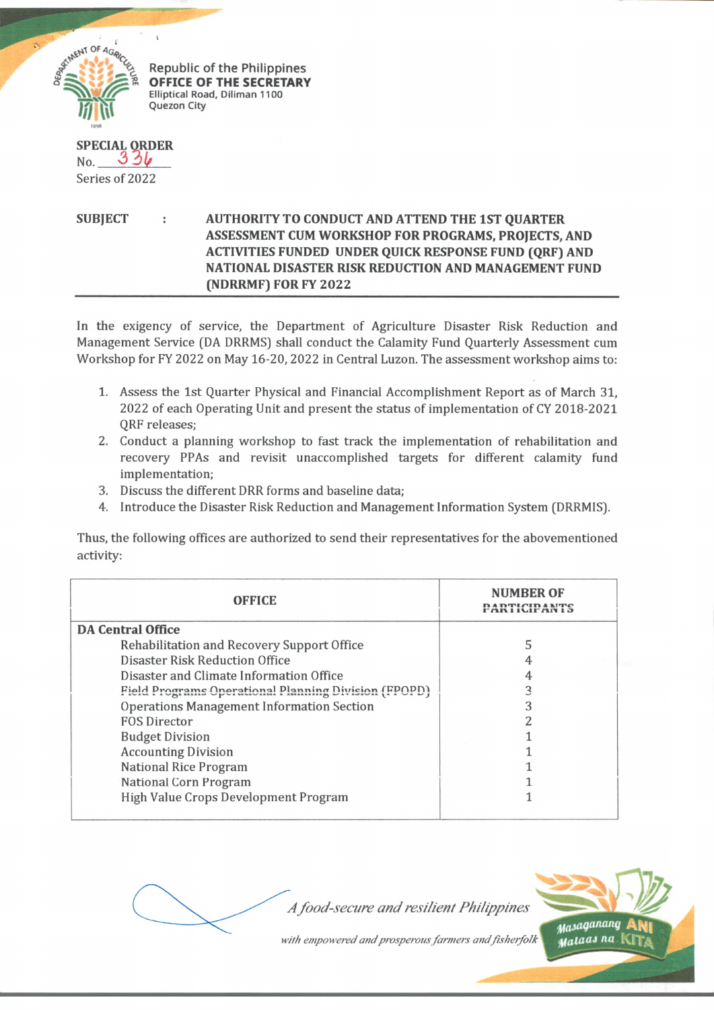

Republic of the Philippines **OFFICE OF THE SECRETARY Elliptical Road, Diliman 1100 Quezon City**

**SPECIAL ORDER** No. *3 2)1/* Series of 2022

**SUBJECT AUTHORITY TO CONDUCT AND ATTEND THE 1ST QUARTER ASSESSMENT CUM WORKSHOP FOR PROGRAMS, PROJECTS, AND ACTIVITIES FUNDED UNDER QUICK RESPONSE FUND (QRF) AND NATIONAL DISASTER RISK REDUCTION AND MANAGEMENT FUND (NDRRMF) FOR FY 2022**

In the exigency of service, the Department of Agriculture Disaster Risk Reduction and Management Service (DA DRRMS) shall conduct the Calamity Fund Quarterly Assessment cum Workshop for FY 2022 on May 16-20, 2022 in Central Luzon. The assessment workshop aims to:

- 1. Assess the 1st Quarter Physical and Financial Accomplishment Report as of March 31, 2022 of each Operating Unit and present the status of implementation of CY 2018-2021 QRF releases;
- 2. Conduct a planning workshop to fast track the implementation of rehabilitation and recovery PPAs and revisit unaccomplished targets for different calamity fund implementation;
- 3. Discuss the different DRR forms and baseline data;
- 4. Introduce the Disaster Risk Reduction and Management Information System (DRRMIS).

Thus, the following offices are authorized to send their representatives for the abovementioned activity:

| <b>OFFICE</b>                                               | <b>NUMBER OF</b> |
|-------------------------------------------------------------|------------------|
| <b>DA Central Office</b>                                    |                  |
| Rehabilitation and Recovery Support Office                  |                  |
| <b>Disaster Risk Reduction Office</b>                       |                  |
| Disaster and Climate Information Office                     |                  |
| <b>Field Programs Operational Planning Division (FPOPD)</b> |                  |
| <b>Operations Management Information Section</b>            |                  |
| <b>FOS Director</b>                                         |                  |
| <b>Budget Division</b>                                      |                  |
| <b>Accounting Division</b>                                  |                  |
| <b>National Rice Program</b>                                |                  |
| <b>National Corn Program</b>                                |                  |
| High Value Crops Development Program                        |                  |

A food-secure and resilient Philippines

with empowered and prosperous farmers and fisherfolk

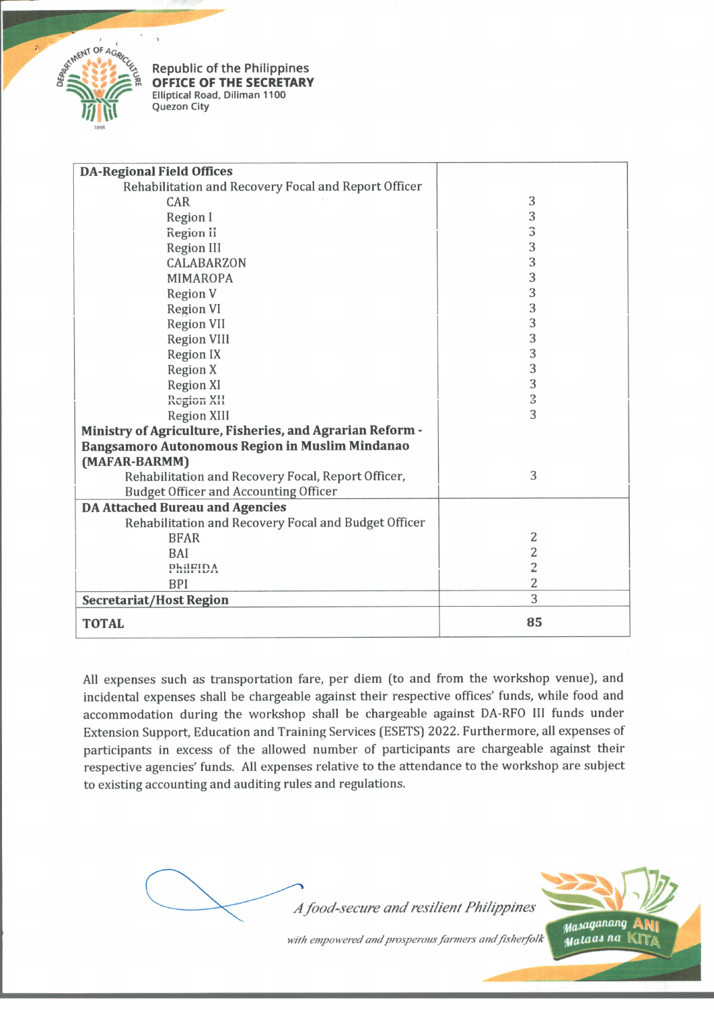

Republic of the Philippines **OFFICE OF THE SECRETARY Elliptical Road, Diliman 1100 Quezon City**

| <b>DA-Regional Field Offices</b>                          |                |
|-----------------------------------------------------------|----------------|
| Rehabilitation and Recovery Focal and Report Officer      |                |
| CAR                                                       | 3              |
| Region I                                                  | 3              |
| Region ii                                                 | 3              |
| Region III                                                | 3              |
| CALABARZON                                                | 3              |
| <b>MIMAROPA</b>                                           | 3              |
| Region V                                                  | 3              |
| <b>Region VI</b>                                          | 3              |
| <b>Region VII</b>                                         | 3              |
| <b>Region VIII</b>                                        | 3              |
| Region IX                                                 | 3              |
| <b>Region X</b>                                           | 3              |
| <b>Region XI</b>                                          | 3              |
| Region XII                                                | 3              |
| <b>Region XIII</b>                                        | 3              |
| Ministry of Agriculture, Fisheries, and Agrarian Reform - |                |
| Bangsamoro Autonomous Region in Muslim Mindanao           |                |
| (MAFAR-BARMM)                                             |                |
| Rehabilitation and Recovery Focal, Report Officer,        | 3              |
| <b>Budget Officer and Accounting Officer</b>              |                |
| <b>DA Attached Bureau and Agencies</b>                    |                |
| Rehabilitation and Recovery Focal and Budget Officer      |                |
| <b>BFAR</b>                                               | 2              |
| BAI                                                       | 2              |
| PhilFIDA                                                  | 2              |
| <b>BPI</b>                                                | $\overline{2}$ |
| <b>Secretariat/Host Region</b>                            | 3              |
| <b>TOTAL</b>                                              | 85             |

All expenses such as transportation fare, per diem (to and from the workshop venue), and incidental expenses shall be chargeable against their respective offices' funds, while food and accommodation during the workshop shall be chargeable against DA-RFO III funds under Extension Support, Education and Training Services (ESETS) 2022. Furthermore, all expenses of participants in excess of the allowed number of participants are chargeable against their respective agencies' funds. All expenses relative to the attendance to the workshop are subject to existing accounting and auditing rules and regulations.



with empowered and prosperous farmers and fisherfolk

*w^*